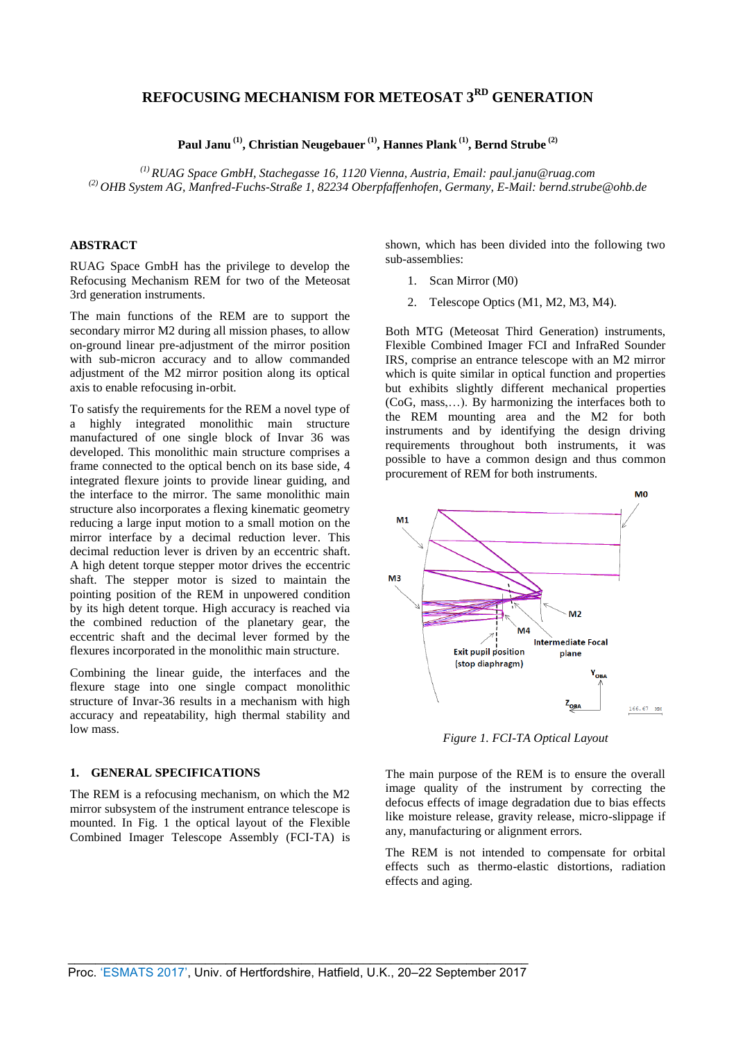# **REFOCUSING MECHANISM FOR METEOSAT 3RD GENERATION**

**Paul Janu (1), Christian Neugebauer (1), Hannes Plank (1) , Bernd Strube (2)**

*(1) RUAG Space GmbH, Stachegasse 16, 1120 Vienna, Austria, Email: paul.janu@ruag.com (2) OHB System AG, Manfred-Fuchs-Straße 1, 82234 Oberpfaffenhofen, Germany, E-Mail: [bernd.strube@ohb.de](file:///C:/Users/stb/AppData/Local/Microsoft/Windows/Temporary%20Internet%20Files/Content.Outlook/QQJDWHDW/wolfgang.erhardt@ohb.de)*

## **ABSTRACT**

RUAG Space GmbH has the privilege to develop the Refocusing Mechanism REM for two of the Meteosat 3rd generation instruments.

The main functions of the REM are to support the secondary mirror M2 during all mission phases, to allow on-ground linear pre-adjustment of the mirror position with sub-micron accuracy and to allow commanded adjustment of the M2 mirror position along its optical axis to enable refocusing in-orbit.

To satisfy the requirements for the REM a novel type of a highly integrated monolithic main structure manufactured of one single block of Invar 36 was developed. This monolithic main structure comprises a frame connected to the optical bench on its base side, 4 integrated flexure joints to provide linear guiding, and the interface to the mirror. The same monolithic main structure also incorporates a flexing kinematic geometry reducing a large input motion to a small motion on the mirror interface by a decimal reduction lever. This decimal reduction lever is driven by an eccentric shaft. A high detent torque stepper motor drives the eccentric shaft. The stepper motor is sized to maintain the pointing position of the REM in unpowered condition by its high detent torque. High accuracy is reached via the combined reduction of the planetary gear, the eccentric shaft and the decimal lever formed by the flexures incorporated in the monolithic main structure.

Combining the linear guide, the interfaces and the flexure stage into one single compact monolithic structure of Invar-36 results in a mechanism with high accuracy and repeatability, high thermal stability and low mass.

#### **1. GENERAL SPECIFICATIONS**

The REM is a refocusing mechanism, on which the M2 mirror subsystem of the instrument entrance telescope is mounted. In Fig. 1 the optical layout of the Flexible Combined Imager Telescope Assembly (FCI-TA) is

shown, which has been divided into the following two sub-assemblies:

- 1. Scan Mirror (M0)
- 2. Telescope Optics (M1, M2, M3, M4).

Both MTG (Meteosat Third Generation) instruments, Flexible Combined Imager FCI and InfraRed Sounder IRS, comprise an entrance telescope with an M2 mirror which is quite similar in optical function and properties but exhibits slightly different mechanical properties (CoG, mass,…). By harmonizing the interfaces both to the REM mounting area and the M2 for both instruments and by identifying the design driving requirements throughout both instruments, it was possible to have a common design and thus common procurement of REM for both instruments.



*Figure 1. FCI-TA Optical Layout* 

The main purpose of the REM is to ensure the overall image quality of the instrument by correcting the defocus effects of image degradation due to bias effects like moisture release, gravity release, micro-slippage if any, manufacturing or alignment errors.

The REM is not intended to compensate for orbital effects such as thermo-elastic distortions, radiation effects and aging.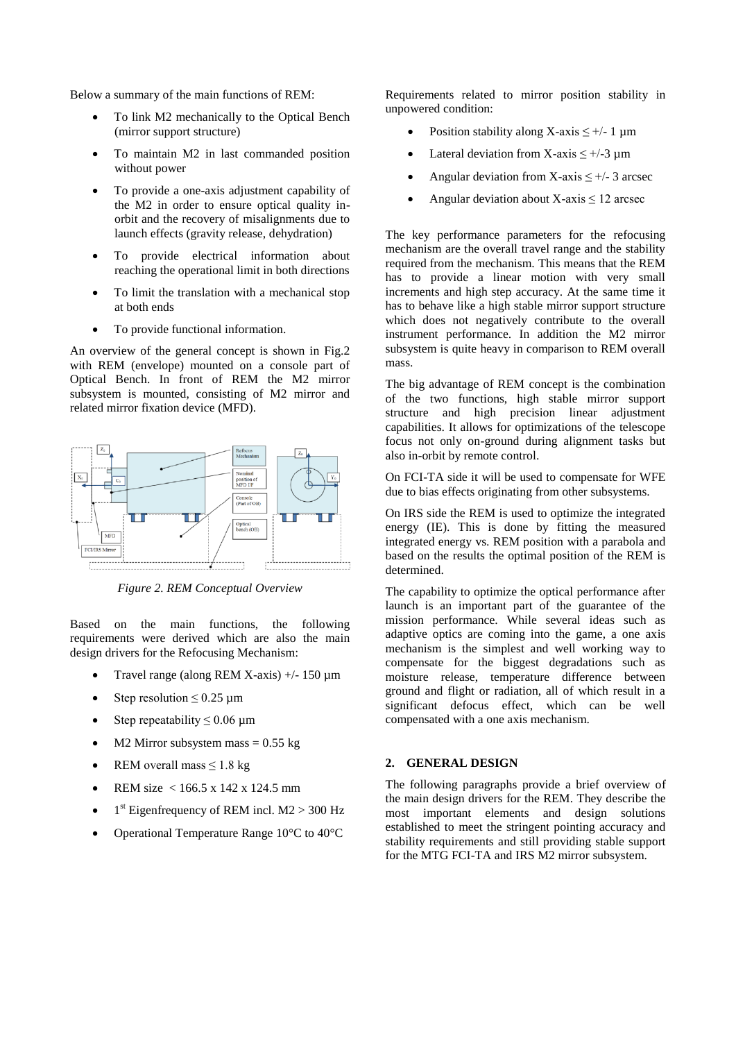Below a summary of the main functions of REM:

- To link M2 mechanically to the Optical Bench (mirror support structure)
- To maintain M2 in last commanded position without power
- To provide a one-axis adjustment capability of the M2 in order to ensure optical quality inorbit and the recovery of misalignments due to launch effects (gravity release, dehydration)
- To provide electrical information about reaching the operational limit in both directions
- To limit the translation with a mechanical stop at both ends
- To provide functional information.

An overview of the general concept is shown in Fig.2 with REM (envelope) mounted on a console part of Optical Bench. In front of REM the M2 mirror subsystem is mounted, consisting of M2 mirror and related mirror fixation device (MFD).



*Figure 2. REM Conceptual Overview*

Based on the main functions, the following requirements were derived which are also the main design drivers for the Refocusing Mechanism:

- Travel range (along REM X-axis) +/- 150 µm
- Step resolution  $\leq 0.25$  µm
- Step repeatability  $\leq 0.06$  µm
- M2 Mirror subsystem mass  $= 0.55$  kg
- REM overall mass  $\leq 1.8$  kg
- REM size < 166.5 x 142 x 124.5 mm
- $\bullet$  1<sup>st</sup> Eigenfrequency of REM incl. M2 > 300 Hz
- Operational Temperature Range 10°C to 40°C

Requirements related to mirror position stability in unpowered condition:

- Position stability along X-axis  $\leq +/-1$  µm
- Lateral deviation from X-axis  $\leq +/-3$  µm
- Angular deviation from X-axis  $\leq +/-3$  arcsec
- Angular deviation about  $X$ -axis  $\leq 12$  arcsec

The key performance parameters for the refocusing mechanism are the overall travel range and the stability required from the mechanism. This means that the REM has to provide a linear motion with very small increments and high step accuracy. At the same time it has to behave like a high stable mirror support structure which does not negatively contribute to the overall instrument performance. In addition the M2 mirror subsystem is quite heavy in comparison to REM overall mass.

The big advantage of REM concept is the combination of the two functions, high stable mirror support structure and high precision linear adjustment capabilities. It allows for optimizations of the telescope focus not only on-ground during alignment tasks but also in-orbit by remote control.

On FCI-TA side it will be used to compensate for WFE due to bias effects originating from other subsystems.

On IRS side the REM is used to optimize the integrated energy (IE). This is done by fitting the measured integrated energy vs. REM position with a parabola and based on the results the optimal position of the REM is determined.

The capability to optimize the optical performance after launch is an important part of the guarantee of the mission performance. While several ideas such as adaptive optics are coming into the game, a one axis mechanism is the simplest and well working way to compensate for the biggest degradations such as moisture release, temperature difference between ground and flight or radiation, all of which result in a significant defocus effect, which can be well compensated with a one axis mechanism.

#### **2. GENERAL DESIGN**

The following paragraphs provide a brief overview of the main design drivers for the REM. They describe the most important elements and design solutions established to meet the stringent pointing accuracy and stability requirements and still providing stable support for the MTG FCI-TA and IRS M2 mirror subsystem.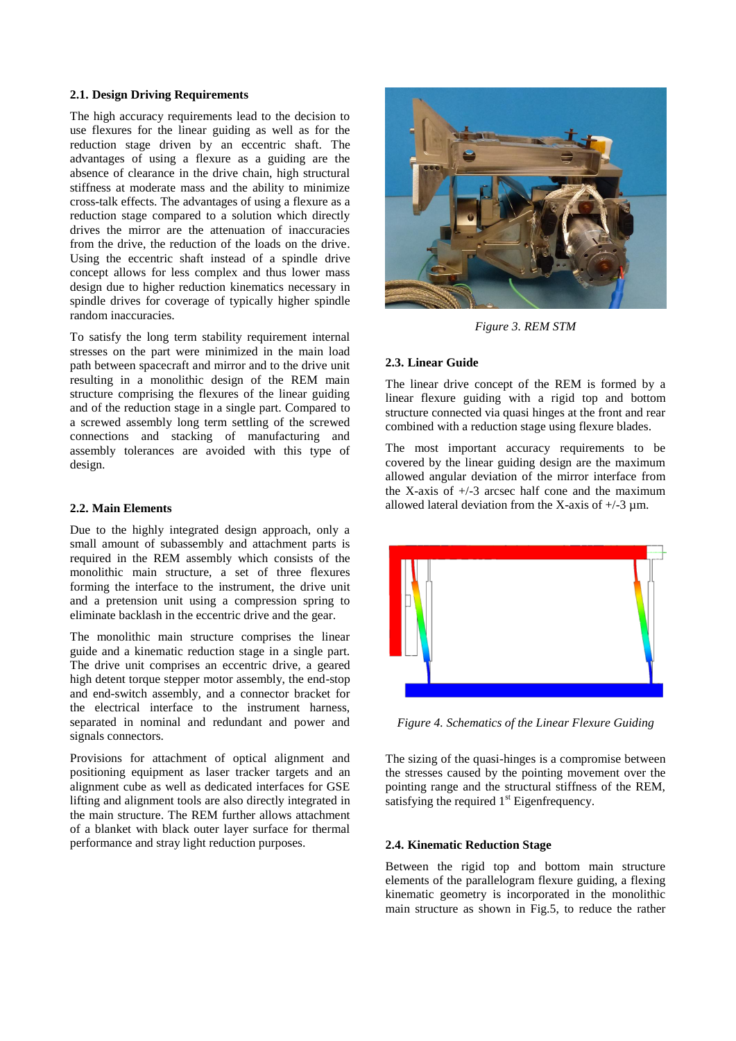### **2.1. Design Driving Requirements**

The high accuracy requirements lead to the decision to use flexures for the linear guiding as well as for the reduction stage driven by an eccentric shaft. The advantages of using a flexure as a guiding are the absence of clearance in the drive chain, high structural stiffness at moderate mass and the ability to minimize cross-talk effects. The advantages of using a flexure as a reduction stage compared to a solution which directly drives the mirror are the attenuation of inaccuracies from the drive, the reduction of the loads on the drive. Using the eccentric shaft instead of a spindle drive concept allows for less complex and thus lower mass design due to higher reduction kinematics necessary in spindle drives for coverage of typically higher spindle random inaccuracies.

To satisfy the long term stability requirement internal stresses on the part were minimized in the main load path between spacecraft and mirror and to the drive unit resulting in a monolithic design of the REM main structure comprising the flexures of the linear guiding and of the reduction stage in a single part. Compared to a screwed assembly long term settling of the screwed connections and stacking of manufacturing and assembly tolerances are avoided with this type of design.

### **2.2. Main Elements**

Due to the highly integrated design approach, only a small amount of subassembly and attachment parts is required in the REM assembly which consists of the monolithic main structure, a set of three flexures forming the interface to the instrument, the drive unit and a pretension unit using a compression spring to eliminate backlash in the eccentric drive and the gear.

The monolithic main structure comprises the linear guide and a kinematic reduction stage in a single part. The drive unit comprises an eccentric drive, a geared high detent torque stepper motor assembly, the end-stop and end-switch assembly, and a connector bracket for the electrical interface to the instrument harness, separated in nominal and redundant and power and signals connectors.

Provisions for attachment of optical alignment and positioning equipment as laser tracker targets and an alignment cube as well as dedicated interfaces for GSE lifting and alignment tools are also directly integrated in the main structure. The REM further allows attachment of a blanket with black outer layer surface for thermal performance and stray light reduction purposes.



*Figure 3. REM STM*

#### **2.3. Linear Guide**

The linear drive concept of the REM is formed by a linear flexure guiding with a rigid top and bottom structure connected via quasi hinges at the front and rear combined with a reduction stage using flexure blades.

The most important accuracy requirements to be covered by the linear guiding design are the maximum allowed angular deviation of the mirror interface from the X-axis of  $+/-3$  arcsec half cone and the maximum allowed lateral deviation from the X-axis of  $+/-3 \mu$ m.



*Figure 4. Schematics of the Linear Flexure Guiding*

The sizing of the quasi-hinges is a compromise between the stresses caused by the pointing movement over the pointing range and the structural stiffness of the REM, satisfying the required  $1<sup>st</sup>$  Eigenfrequency.

#### **2.4. Kinematic Reduction Stage**

Between the rigid top and bottom main structure elements of the parallelogram flexure guiding, a flexing kinematic geometry is incorporated in the monolithic main structure as shown in Fig.5, to reduce the rather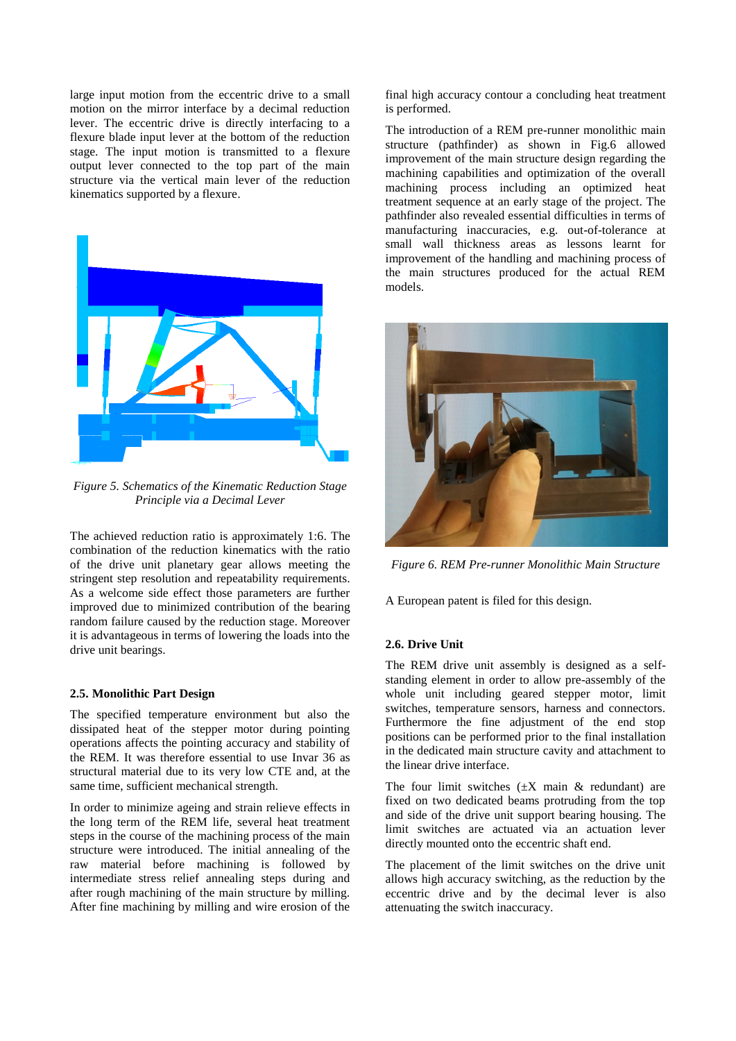large input motion from the eccentric drive to a small motion on the mirror interface by a decimal reduction lever. The eccentric drive is directly interfacing to a flexure blade input lever at the bottom of the reduction stage. The input motion is transmitted to a flexure output lever connected to the top part of the main structure via the vertical main lever of the reduction kinematics supported by a flexure.



*Figure 5. Schematics of the Kinematic Reduction Stage Principle via a Decimal Lever*

The achieved reduction ratio is approximately 1:6. The combination of the reduction kinematics with the ratio of the drive unit planetary gear allows meeting the stringent step resolution and repeatability requirements. As a welcome side effect those parameters are further improved due to minimized contribution of the bearing random failure caused by the reduction stage. Moreover it is advantageous in terms of lowering the loads into the drive unit bearings.

#### **2.5. Monolithic Part Design**

The specified temperature environment but also the dissipated heat of the stepper motor during pointing operations affects the pointing accuracy and stability of the REM. It was therefore essential to use Invar 36 as structural material due to its very low CTE and, at the same time, sufficient mechanical strength.

In order to minimize ageing and strain relieve effects in the long term of the REM life, several heat treatment steps in the course of the machining process of the main structure were introduced. The initial annealing of the raw material before machining is followed by intermediate stress relief annealing steps during and after rough machining of the main structure by milling. After fine machining by milling and wire erosion of the final high accuracy contour a concluding heat treatment is performed.

The introduction of a REM pre-runner monolithic main structure (pathfinder) as shown in Fig.6 allowed improvement of the main structure design regarding the machining capabilities and optimization of the overall machining process including an optimized heat treatment sequence at an early stage of the project. The pathfinder also revealed essential difficulties in terms of manufacturing inaccuracies, e.g. out-of-tolerance at small wall thickness areas as lessons learnt for improvement of the handling and machining process of the main structures produced for the actual REM models.



*Figure 6. REM Pre-runner Monolithic Main Structure*

A European patent is filed for this design.

#### **2.6. Drive Unit**

The REM drive unit assembly is designed as a selfstanding element in order to allow pre-assembly of the whole unit including geared stepper motor, limit switches, temperature sensors, harness and connectors. Furthermore the fine adjustment of the end stop positions can be performed prior to the final installation in the dedicated main structure cavity and attachment to the linear drive interface.

The four limit switches  $(\pm X \text{ main } \& \text{ redundant})$  are fixed on two dedicated beams protruding from the top and side of the drive unit support bearing housing. The limit switches are actuated via an actuation lever directly mounted onto the eccentric shaft end.

The placement of the limit switches on the drive unit allows high accuracy switching, as the reduction by the eccentric drive and by the decimal lever is also attenuating the switch inaccuracy.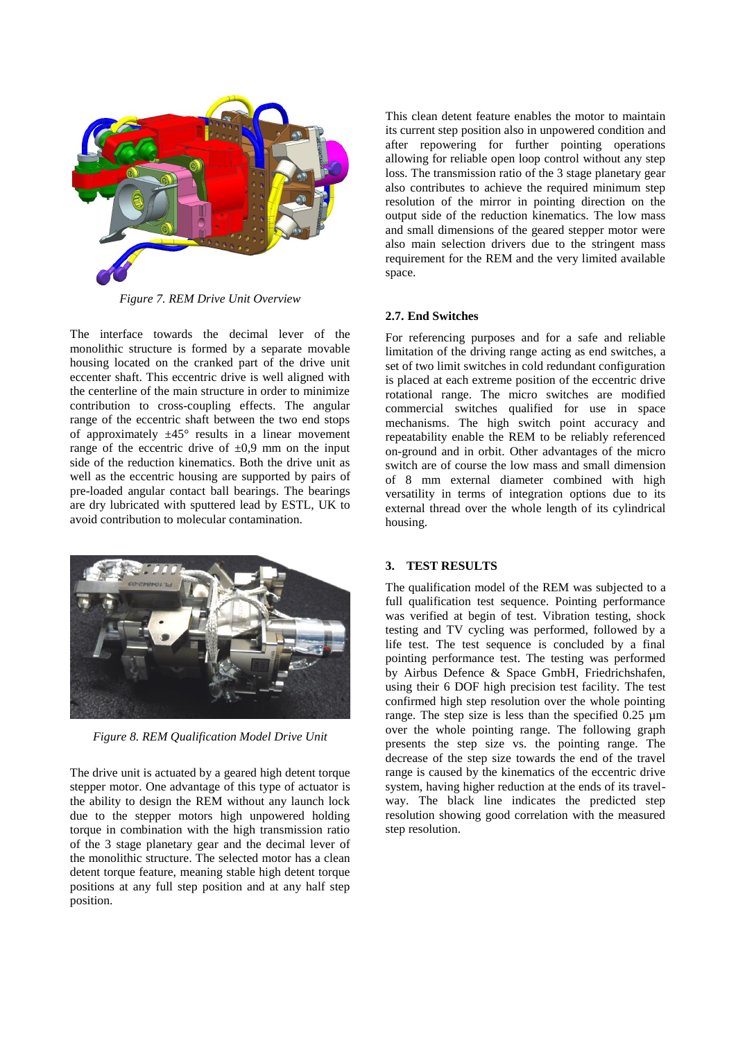

*Figure 7. REM Drive Unit Overview*

The interface towards the decimal lever of the monolithic structure is formed by a separate movable housing located on the cranked part of the drive unit eccenter shaft. This eccentric drive is well aligned with the centerline of the main structure in order to minimize contribution to cross-coupling effects. The angular range of the eccentric shaft between the two end stops of approximately  $\pm 45^{\circ}$  results in a linear movement range of the eccentric drive of  $\pm 0.9$  mm on the input side of the reduction kinematics. Both the drive unit as well as the eccentric housing are supported by pairs of pre-loaded angular contact ball bearings. The bearings are dry lubricated with sputtered lead by ESTL, UK to avoid contribution to molecular contamination.



*Figure 8. REM Qualification Model Drive Unit*

The drive unit is actuated by a geared high detent torque stepper motor. One advantage of this type of actuator is the ability to design the REM without any launch lock due to the stepper motors high unpowered holding torque in combination with the high transmission ratio of the 3 stage planetary gear and the decimal lever of the monolithic structure. The selected motor has a clean detent torque feature, meaning stable high detent torque positions at any full step position and at any half step position.

This clean detent feature enables the motor to maintain its current step position also in unpowered condition and after repowering for further pointing operations allowing for reliable open loop control without any step loss. The transmission ratio of the 3 stage planetary gear also contributes to achieve the required minimum step resolution of the mirror in pointing direction on the output side of the reduction kinematics. The low mass and small dimensions of the geared stepper motor were also main selection drivers due to the stringent mass requirement for the REM and the very limited available space.

# **2.7. End Switches**

For referencing purposes and for a safe and reliable limitation of the driving range acting as end switches, a set of two limit switches in cold redundant configuration is placed at each extreme position of the eccentric drive rotational range. The micro switches are modified commercial switches qualified for use in space mechanisms. The high switch point accuracy and repeatability enable the REM to be reliably referenced on-ground and in orbit. Other advantages of the micro switch are of course the low mass and small dimension of 8 mm external diameter combined with high versatility in terms of integration options due to its external thread over the whole length of its cylindrical housing.

# **3. TEST RESULTS**

The qualification model of the REM was subjected to a full qualification test sequence. Pointing performance was verified at begin of test. Vibration testing, shock testing and TV cycling was performed, followed by a life test. The test sequence is concluded by a final pointing performance test. The testing was performed by Airbus Defence & Space GmbH, Friedrichshafen, using their 6 DOF high precision test facility. The test confirmed high step resolution over the whole pointing range. The step size is less than the specified 0.25 µm over the whole pointing range. The following graph presents the step size vs. the pointing range. The decrease of the step size towards the end of the travel range is caused by the kinematics of the eccentric drive system, having higher reduction at the ends of its travelway. The black line indicates the predicted step resolution showing good correlation with the measured step resolution.